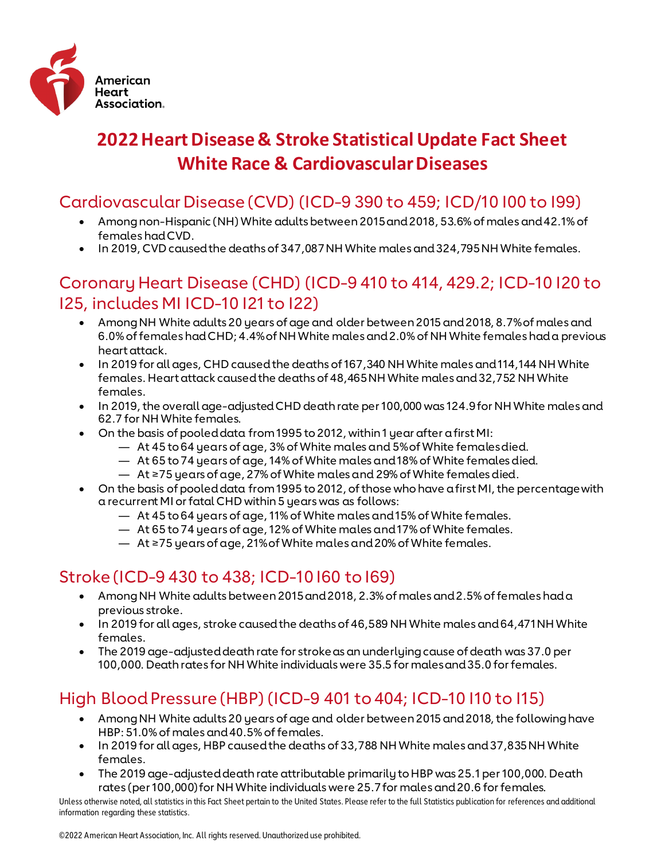

# **2022 Heart Disease & Stroke Statistical Update Fact Sheet White Race & Cardiovascular Diseases**

### Cardiovascular Disease (CVD) (ICD-9 390 to 459; ICD/10 I00 to I99)

- Among non-Hispanic (NH) White adults between 2015 and 2018, 53.6% of males and 42.1% of females had CVD.
- In 2019, CVD caused the deaths of 347,087 NH White males and 324,795 NH White females.

### Coronary Heart Disease (CHD) (ICD-9 410 to 414, 429.2; ICD-10 I20 to I25, includes MI ICD-10 I21 to I22)

- Among NH White adults 20 years of age and older between 2015 and 2018, 8.7% of males and 6.0% of females had CHD; 4.4% of NH White males and 2.0% of NH White females had a previous heart attack.
- In 2019 for all ages, CHD caused the deaths of 167,340 NH White males and 114,144 NH White females. Heart attack caused the deaths of 48,465 NH White males and 32,752 NH White females.
- In 2019, the overall age-adjusted CHD death rate per 100,000 was 124.9 for NH White males and 62.7 for NH White females.
- On the basis of pooled data from 1995 to 2012, within 1 year after a first MI:
	- At 45 to 64 years of age, 3% of White males and 5% of White females died.
	- At 65 to 74 years of age, 14% of White males and 18% of White females died.
	- At ≥75 years of age, 27% of White males and 29% of White females died.
- On the basis of pooled data from 1995 to 2012, of those who have a first MI, the percentage with a recurrent MI or fatal CHD within 5 years was as follows:
	- At 45 to 64 years of age, 11% of White males and 15% of White females.
	- At 65 to 74 years of age, 12% of White males and 17% of White females.
	- At ≥75 years of age, 21% of White males and 20% of White females.

# Stroke (ICD-9 430 to 438; ICD-10 I60 to I69)

- Among NH White adults between 2015 and 2018, 2.3% of males and 2.5% of females had a previous stroke.
- In 2019 for all ages, stroke caused the deaths of 46,589 NH White males and 64,471 NH White females.
- The 2019 age-adjusted death rate for stroke as an underlying cause of death was 37.0 per 100,000. Death rates for NH White individuals were 35.5 for males and 35.0 for females.

# High Blood Pressure (HBP) (ICD-9 401 to 404; ICD-10 I10 to I15)

- Among NH White adults 20 years of age and older between 2015 and 2018, the following have HBP: 51.0% of males and 40.5% of females.
- In 2019 for all ages, HBP caused the deaths of 33,788 NH White males and 37,835 NH White females.
- The 2019 age-adjusted death rate attributable primarily to HBP was 25.1 per 100,000. Death rates (per 100,000) for NH White individuals were 25.7 for males and 20.6 for females.

Unless otherwise noted, all statistics in this Fact Sheet pertain to the United States. Please refer to the full Statistics publication for references and additional information regarding these statistics.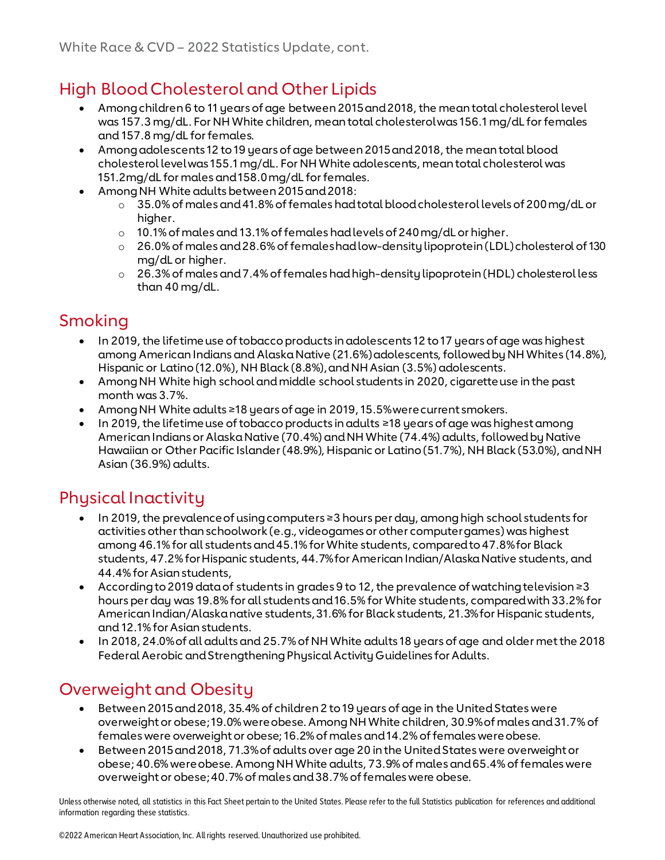# High Blood Cholesterol and Other Lipids

- Among children 6 to 11 years of age between 2015 and 2018, the mean total cholesterol level was 157.3 mg/dL. For NH White children, mean total cholesterol was 156.1 mg/dL for females and 157.8 mg/dL for females.
- Among adolescents 12 to 19 years of age between 2015 and 2018, the mean total blood cholesterol level was 155.1 mg/dL. For NH White adolescents, mean total cholesterol was 151.2mg/dL for males and 158.0 mg/dL for females.
- Among NH White adults between 2015 and 2018:
	- $\circ$  35.0% of males and 41.8% of females had total blood cholesterol levels of 200 mg/dL or higher.
	- o 10.1% of males and 13.1% of females had levels of 240 mg/dL or higher.
	- o 26.0% of males and 28.6% of females had low-density lipoprotein (LDL) cholesterol of 130 mg/dL or higher.
	- o 26.3% of males and 7.4% of females had high-density lipoprotein (HDL) cholesterol less than 40 mg/dL.

#### Smoking

- In 2019, the lifetime use of tobacco products in adolescents 12 to 17 years of age was highest among American Indians and Alaska Native (21.6%) adolescents, followed by NH Whites (14.8%), Hispanic or Latino (12.0%), NH Black (8.8%), and NH Asian (3.5%) adolescents.
- Among NH White high school and middle school students in 2020, cigarette use in the past month was 3.7%.
- Among NH White adults ≥18 years of age in 2019, 15.5% were current smokers.
- In 2019, the lifetime use of tobacco products in adults ≥18 years of age was highest among American Indians or Alaska Native (70.4%) and NH White (74.4%) adults, followed by Native Hawaiian or Other Pacific Islander (48.9%), Hispanic or Latino (51.7%), NH Black (53.0%), and NH Asian (36.9%) adults.

# Physical Inactivity

- In 2019, the prevalence of using computers ≥3 hours per day, among high school students for activities other than schoolwork (e.g., videogames or other computer games) was highest among 46.1% for all students and 45.1% for White students, compared to 47.8% for Black students, 47.2% for Hispanic students, 44.7% for American Indian/Alaska Native students, and 44.4% for Asian students,
- According to 2019 data of students in grades 9 to 12, the prevalence of watching television ≥3 hours per day was 19.8% for all students and 16.5% for White students, compared with 33.2% for American Indian/Alaska native students, 31.6% for Black students, 21.3% for Hispanic students, and 12.1% for Asian students.
- In 2018, 24.0% of all adults and 25.7% of NH White adults 18 years of age and older met the 2018 Federal Aerobic and Strengthening Physical Activity Guidelines for Adults.

# Overweight and Obesity

- Between 2015 and 2018, 35.4% of children 2 to 19 years of age in the United States were overweight or obese; 19.0% were obese. Among NH White children, 30.9% of males and 31.7% of females were overweight or obese; 16.2% of males and 14.2% of females were obese.
- Between 2015 and 2018, 71.3% of adults over age 20 in the United States were overweight or obese; 40.6% were obese.Among NH White adults, 73.9% of males and 65.4% of females were overweight or obese; 40.7% of males and 38.7% of females were obese.

Unless otherwise noted, all statistics in this Fact Sheet pertain to the United States. Please refer to the full Statistics publication for references and additional information regarding these statistics.